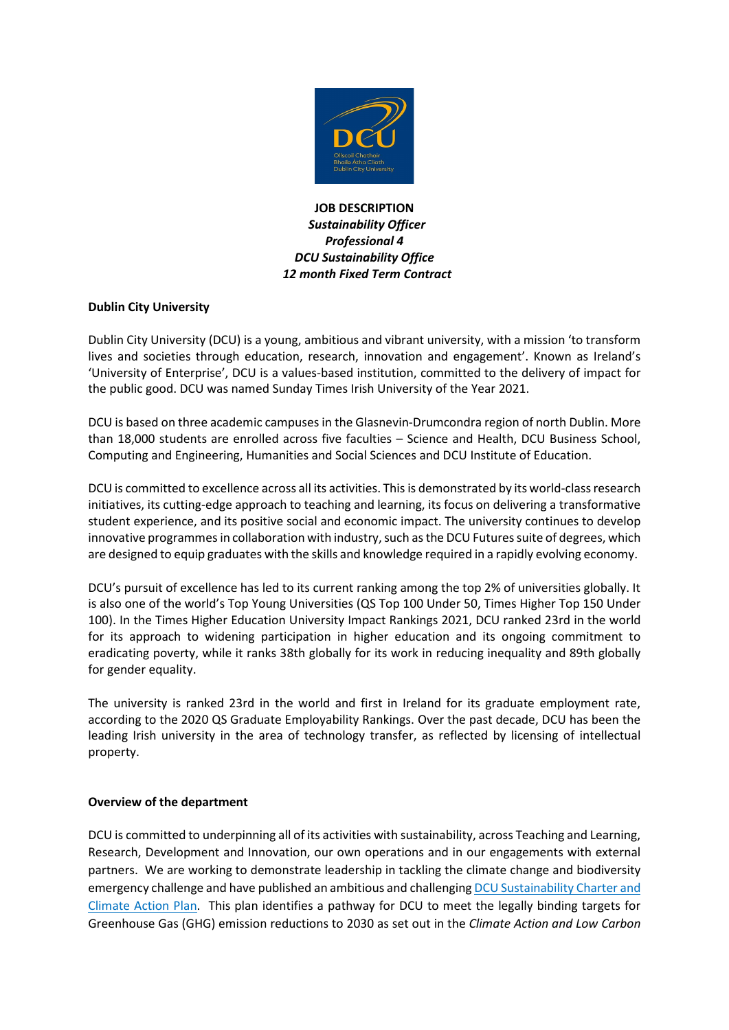

**JOB DESCRIPTION** *Sustainability Officer Professional 4 DCU Sustainability Office 12 month Fixed Term Contract*

# **Dublin City University**

Dublin City University (DCU) is a young, ambitious and vibrant university, with a mission 'to transform lives and societies through education, research, innovation and engagement'. Known as Ireland's 'University of Enterprise', DCU is a values-based institution, committed to the delivery of impact for the public good. DCU was named Sunday Times Irish University of the Year 2021.

DCU is based on three academic campuses in the Glasnevin-Drumcondra region of north Dublin. More than 18,000 students are enrolled across five faculties – Science and Health, DCU Business School, Computing and Engineering, Humanities and Social Sciences and DCU Institute of Education.

DCU is committed to excellence across all its activities. This is demonstrated by its world-class research initiatives, its cutting-edge approach to teaching and learning, its focus on delivering a transformative student experience, and its positive social and economic impact. The university continues to develop innovative programmes in collaboration with industry, such as the DCU Futures suite of degrees, which are designed to equip graduates with the skills and knowledge required in a rapidly evolving economy.

DCU's pursuit of excellence has led to its current ranking among the top 2% of universities globally. It is also one of the world's Top Young Universities (QS Top 100 Under 50, Times Higher Top 150 Under 100). In the Times Higher Education University Impact Rankings 2021, DCU ranked 23rd in the world for its approach to widening participation in higher education and its ongoing commitment to eradicating poverty, while it ranks 38th globally for its work in reducing inequality and 89th globally for gender equality.

The university is ranked 23rd in the world and first in Ireland for its graduate employment rate, according to the 2020 QS Graduate Employability Rankings. Over the past decade, DCU has been the leading Irish university in the area of technology transfer, as reflected by licensing of intellectual property.

#### **Overview of the department**

DCU is committed to underpinning all of its activities with sustainability, across Teaching and Learning, Research, Development and Innovation, our own operations and in our engagements with external partners. We are working to demonstrate leadership in tackling the climate change and biodiversity emergency challenge and have published an ambitious and challengin[g DCU Sustainability Charter and](https://www.dcu.ie/sites/default/files/inline-files/dcu-climate-action-plan-2021-2026.pdf)  Climate [Action Plan.](https://www.dcu.ie/sites/default/files/inline-files/dcu-climate-action-plan-2021-2026.pdf) This plan identifies a pathway for DCU to meet the legally binding targets for Greenhouse Gas (GHG) emission reductions to 2030 as set out in the *Climate Action and Low Carbon*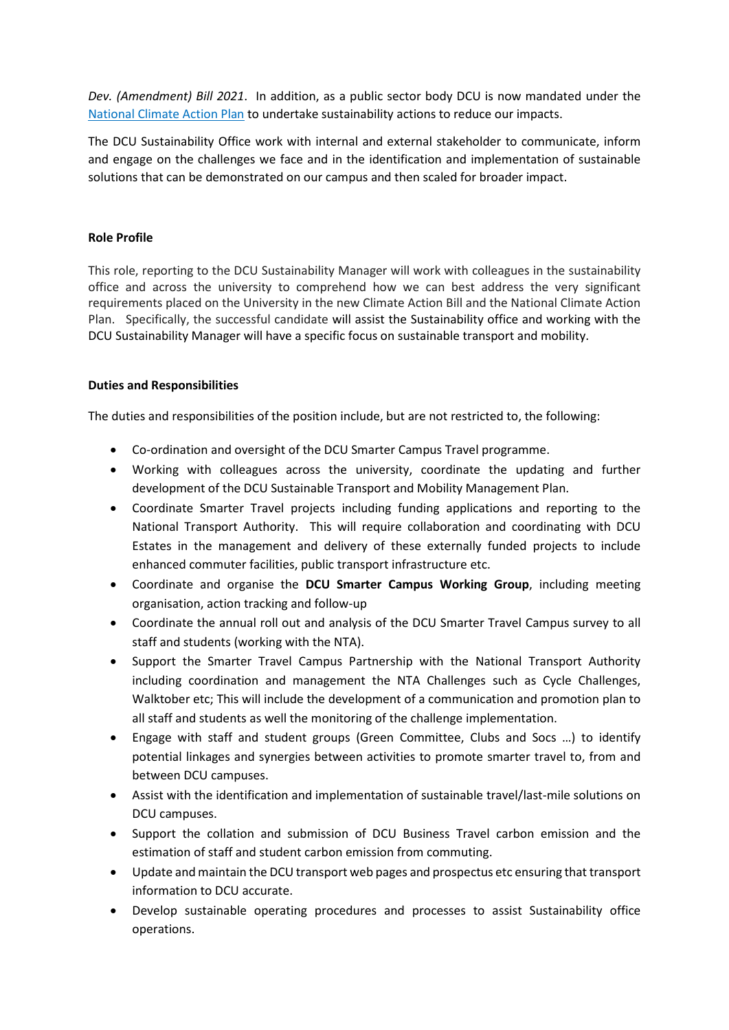*Dev. (Amendment) Bill 2021*. In addition, as a public sector body DCU is now mandated under the [National Climate Action Plan](https://www.gov.ie/en/publication/6223e-climate-action-plan-2021/) to undertake sustainability actions to reduce our impacts.

The DCU Sustainability Office work with internal and external stakeholder to communicate, inform and engage on the challenges we face and in the identification and implementation of sustainable solutions that can be demonstrated on our campus and then scaled for broader impact.

### **Role Profile**

This role, reporting to the DCU Sustainability Manager will work with colleagues in the sustainability office and across the university to comprehend how we can best address the very significant requirements placed on the University in the new Climate Action Bill and the National Climate Action Plan. Specifically, the successful candidate will assist the Sustainability office and working with the DCU Sustainability Manager will have a specific focus on sustainable transport and mobility.

## **Duties and Responsibilities**

The duties and responsibilities of the position include, but are not restricted to, the following:

- Co-ordination and oversight of the DCU Smarter Campus Travel programme.
- Working with colleagues across the university, coordinate the updating and further development of the DCU Sustainable Transport and Mobility Management Plan.
- Coordinate Smarter Travel projects including funding applications and reporting to the National Transport Authority. This will require collaboration and coordinating with DCU Estates in the management and delivery of these externally funded projects to include enhanced commuter facilities, public transport infrastructure etc.
- Coordinate and organise the **DCU Smarter Campus Working Group**, including meeting organisation, action tracking and follow-up
- Coordinate the annual roll out and analysis of the DCU Smarter Travel Campus survey to all staff and students (working with the NTA).
- Support the Smarter Travel Campus Partnership with the National Transport Authority including coordination and management the NTA Challenges such as Cycle Challenges, Walktober etc; This will include the development of a communication and promotion plan to all staff and students as well the monitoring of the challenge implementation.
- Engage with staff and student groups (Green Committee, Clubs and Socs …) to identify potential linkages and synergies between activities to promote smarter travel to, from and between DCU campuses.
- Assist with the identification and implementation of sustainable travel/last-mile solutions on DCU campuses.
- Support the collation and submission of DCU Business Travel carbon emission and the estimation of staff and student carbon emission from commuting.
- Update and maintain the DCU transport web pages and prospectus etc ensuring that transport information to DCU accurate.
- Develop sustainable operating procedures and processes to assist Sustainability office operations.